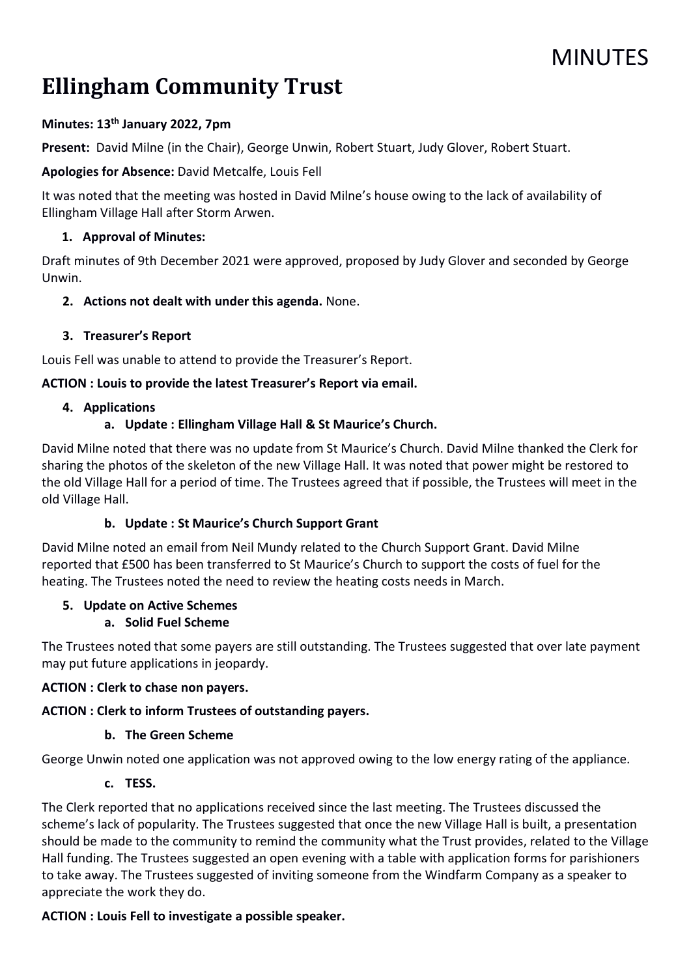# **MINUTES**

# Ellingham Community Trust

# Minutes: 13th January 2022, 7pm

Present: David Milne (in the Chair), George Unwin, Robert Stuart, Judy Glover, Robert Stuart.

Apologies for Absence: David Metcalfe, Louis Fell

It was noted that the meeting was hosted in David Milne's house owing to the lack of availability of Ellingham Village Hall after Storm Arwen.

## 1. Approval of Minutes:

Draft minutes of 9th December 2021 were approved, proposed by Judy Glover and seconded by George Unwin.

## 2. Actions not dealt with under this agenda. None.

## 3. Treasurer's Report

Louis Fell was unable to attend to provide the Treasurer's Report.

## ACTION : Louis to provide the latest Treasurer's Report via email.

## 4. Applications

## a. Update : Ellingham Village Hall & St Maurice's Church.

David Milne noted that there was no update from St Maurice's Church. David Milne thanked the Clerk for sharing the photos of the skeleton of the new Village Hall. It was noted that power might be restored to the old Village Hall for a period of time. The Trustees agreed that if possible, the Trustees will meet in the old Village Hall.

# b. Update : St Maurice's Church Support Grant

David Milne noted an email from Neil Mundy related to the Church Support Grant. David Milne reported that £500 has been transferred to St Maurice's Church to support the costs of fuel for the heating. The Trustees noted the need to review the heating costs needs in March.

## 5. Update on Active Schemes

# a. Solid Fuel Scheme

The Trustees noted that some payers are still outstanding. The Trustees suggested that over late payment may put future applications in jeopardy.

## ACTION : Clerk to chase non payers.

# ACTION : Clerk to inform Trustees of outstanding payers.

## b. The Green Scheme

George Unwin noted one application was not approved owing to the low energy rating of the appliance.

## c. TESS.

The Clerk reported that no applications received since the last meeting. The Trustees discussed the scheme's lack of popularity. The Trustees suggested that once the new Village Hall is built, a presentation should be made to the community to remind the community what the Trust provides, related to the Village Hall funding. The Trustees suggested an open evening with a table with application forms for parishioners to take away. The Trustees suggested of inviting someone from the Windfarm Company as a speaker to appreciate the work they do.

# ACTION : Louis Fell to investigate a possible speaker.